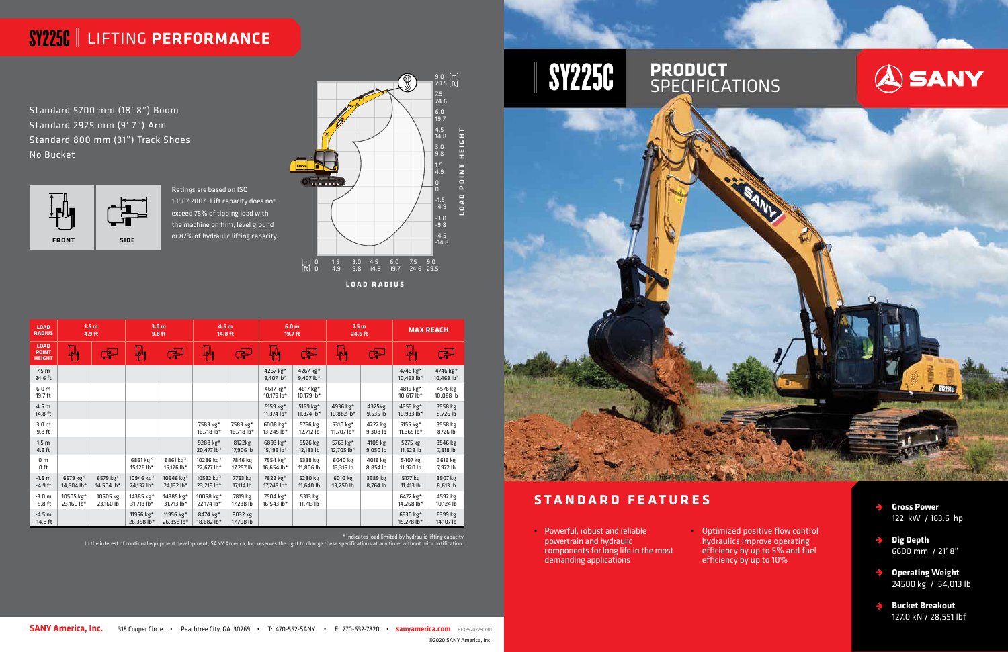### **STANDARD FEATURES**

• Powerful, robust and reliable powertrain and hydraulic components for long life in the most demanding applications

**SANY America, Inc.** 318 Cooper Circle • Peachtree City, GA 30269 • T: 470-552-SANY • F: 770-632-7820 • sanyamerica.com HEXPS20225C001

• Optimized positive flow control hydraulics improve operating efficiency by up to 5% and fuel efficiency by up to 10%



# SY225C LIFTING **PERFORMANCE**



Standard 5700 mm (18' 8") Boom Standard 2925 mm (9' 7") Arm Standard 800 mm (31") Track Shoes No Bucket

> Ratings are based on ISO 10567:2007. Lift capacity does not exceed 75% of tipping load with the machine on firm, level ground



- **Gross Power**  122 kW / 163.6 hp
- **Dig Depth** 6600 mm / 21' 8"
- **Operating Weight**  $\rightarrow$ 24500 kg / 54,013 lb
- **Bucket Breakout** 127.0 kN / 28,551 lbf

| <b>LOAD</b><br><b>RADIUS</b>                 | 1.5 <sub>m</sub><br>4.9 ft |                          | 3.0 <sub>m</sub><br>9.8 ft |                         | 4.5 <sub>m</sub><br>14.8 ft |                        | 6.0 <sub>m</sub><br>19.7 ft |                          | 7.5 <sub>m</sub><br>24.6 ft |                     | <b>MAX REACH</b>         |                        |
|----------------------------------------------|----------------------------|--------------------------|----------------------------|-------------------------|-----------------------------|------------------------|-----------------------------|--------------------------|-----------------------------|---------------------|--------------------------|------------------------|
| <b>LOAD</b><br><b>POINT</b><br><b>HEIGHT</b> | ┇╻╢┓                       | لتق                      | ┇╻╣┓                       | 写                       | Ĺ,∆,                        | لتق                    | 44                          | لتق                      | ĮД,                         | لتخ                 | AV                       | لتق                    |
| 7.5 <sub>m</sub><br>24.6 ft                  |                            |                          |                            |                         |                             |                        | 4267 kg*<br>9,407 $lb*$     | 4267 kg*<br>$9,407$ lb*  |                             |                     | 4746 kg*<br>10,463 $lb*$ | 4746 kg*<br>10,463 lb* |
| 6.0 <sub>m</sub><br>19.7 ft                  |                            |                          |                            |                         |                             |                        | 4617 kg*<br>10,179 lb*      | 4617 kg*<br>10,179 lb*   |                             |                     | 4816 kg*<br>10,617 lb*   | 4576 kg<br>10,088 lb   |
| 4.5 <sub>m</sub><br>14.8 ft                  |                            |                          |                            |                         |                             |                        | 5159 kg*<br>11,374 lb*      | 5159 kg*<br>11,374 $lb*$ | 4936 kg*<br>10,882 lb*      | 4325kg<br>9,535 lb  | 4959 kg*<br>$10,933$ lb* | 3958 kg<br>8,726 lb    |
| 3.0 <sub>m</sub><br>9.8 ft                   |                            |                          |                            |                         | 7583 kg*<br>16,718 lb*      | 7583 kg*<br>16,718 lb* | 6008 kg*<br>13,245 lb*      | 5766 kg<br>12,712 lb     | 5310 kg*<br>11,707 $lb*$    | 4222 kg<br>9,308 lb | 5155 kg*<br>11,365 lb*   | 3958 kg<br>8726 lb     |
| 1.5 <sub>m</sub><br>4.9 ft                   |                            |                          |                            |                         | 9288 kg*<br>20,477 lb*      | 8122kg<br>17,906 lb    | 6893 kg*<br>15,196 lb*      | 5526 kg<br>12,183 lb     | 5763 kg*<br>12.705 lb*      | 4105 kg<br>9,050 lb | 5275 kg<br>11,629 lb     | 3546 kg<br>7,818 lb    |
| 0 <sub>m</sub><br>0 ft                       |                            |                          | 6861 kg*<br>15,126 lb*     | 6861 kg*<br>15,126 lb*  | 10286 kg*<br>22,677 lb*     | 7846 kg<br>17,297 lb   | 7554 kg*<br>16,654 lb*      | 5338 kg<br>11,806 lb     | 6040 kg<br>13,316 lb        | 4016 kg<br>8,854 lb | 5407 kg<br>11,920 lb     | 3616 kg<br>7,972 lb    |
| $-1.5 m$<br>$-4.9$ ft                        | 6579 kg*<br>14,504 lb*     | 6579 $kg*$<br>14,504 lb* | 10946 kg*<br>24,132 lb*    | 10946 kg*<br>24,132 lb* | 10532 kg*<br>23,219 lb*     | 7763 kg<br>17,114 lb   | 7822 kg*<br>17,245 lb*      | 5280 kg<br>11,640 lb     | 6010 kg<br>13,250 lb        | 3989 kg<br>8,764 lb | 5177 kg<br>11,413 lb     | 3907 kg<br>8,613 lb    |
| $-3.0 m$<br>$-9.8$ ft                        | 10505 kg*<br>23,160 lb*    | 10505 kg<br>23,160 lb    | 14385 kg*<br>31,713 lb*    | 14385 kg*<br>31,713 lb* | 10058 kg*<br>22,174 lb*     | 7819 kg<br>17,238 lb   | 7504 kg*<br>16,543 lb*      | 5313 kg<br>11,713 lb     |                             |                     | 6472 kg*<br>14,268 lb*   | 4592 kg<br>10,124 lb   |
| $-4.5 m$<br>$-14.8$ ft                       |                            |                          | 11956 kg*<br>26,358 lb*    | 11956 kg*<br>26,358 lb* | 8474 kg*<br>18,682 lb*      | 8032 kg<br>17,708 lb   |                             |                          |                             |                     | 6930 kg*<br>15,278 lb*   | 6399 kg<br>14,107 lb   |

@2020 SANY America, Inc.



\* Indicates load limited by hydraulic lifting capacity In the interest of continual equipment development, SANY America, Inc. reserves the right to change these specifications at any time without prior notification.